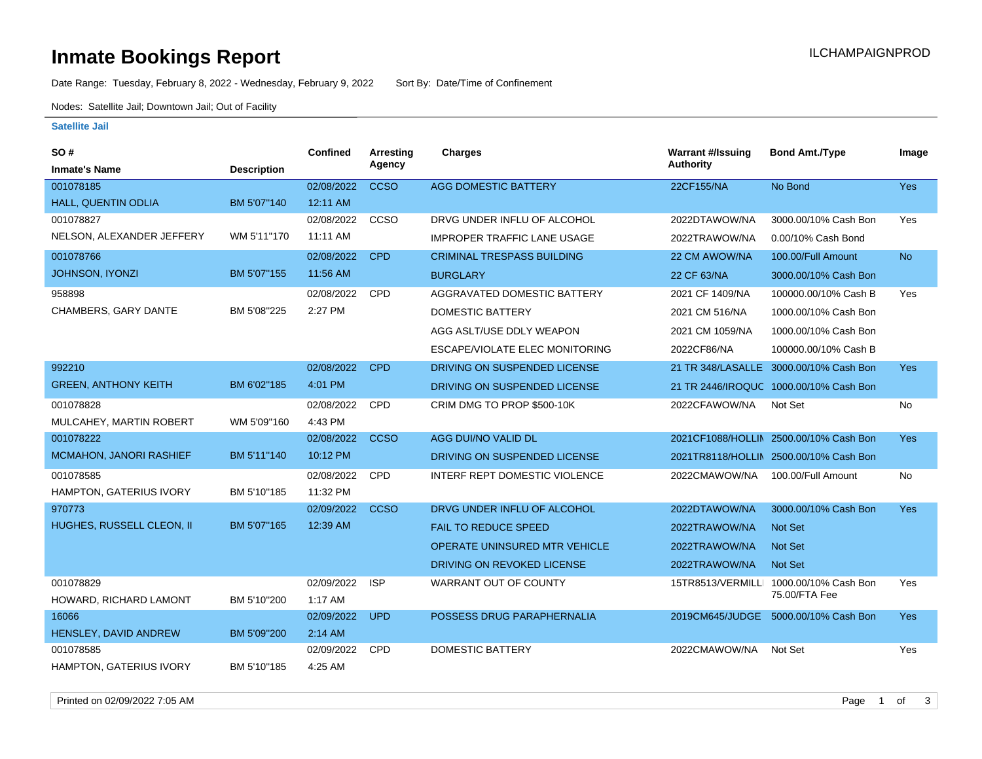# **Inmate Bookings Report Installation ILCHAMPAIGNPROD**

Date Range: Tuesday, February 8, 2022 - Wednesday, February 9, 2022 Sort By: Date/Time of Confinement

Nodes: Satellite Jail; Downtown Jail; Out of Facility

### **Satellite Jail**

| SO#                            |                    | Confined   | <b>Arresting</b> | Charges                            | <b>Warrant #/Issuing</b> | <b>Bond Amt./Type</b>                  | Image      |
|--------------------------------|--------------------|------------|------------------|------------------------------------|--------------------------|----------------------------------------|------------|
| <b>Inmate's Name</b>           | <b>Description</b> |            | Agency           |                                    | <b>Authority</b>         |                                        |            |
| 001078185                      |                    | 02/08/2022 | <b>CCSO</b>      | <b>AGG DOMESTIC BATTERY</b>        | 22CF155/NA               | No Bond                                | Yes        |
| HALL, QUENTIN ODLIA            | BM 5'07"140        | 12:11 AM   |                  |                                    |                          |                                        |            |
| 001078827                      |                    | 02/08/2022 | CCSO             | DRVG UNDER INFLU OF ALCOHOL        | 2022DTAWOW/NA            | 3000.00/10% Cash Bon                   | Yes        |
| NELSON, ALEXANDER JEFFERY      | WM 5'11"170        | 11:11 AM   |                  | <b>IMPROPER TRAFFIC LANE USAGE</b> | 2022TRAWOW/NA            | 0.00/10% Cash Bond                     |            |
| 001078766                      |                    | 02/08/2022 | <b>CPD</b>       | <b>CRIMINAL TRESPASS BUILDING</b>  | 22 CM AWOW/NA            | 100.00/Full Amount                     | <b>No</b>  |
| JOHNSON, IYONZI                | BM 5'07"155        | 11:56 AM   |                  | <b>BURGLARY</b>                    | 22 CF 63/NA              | 3000.00/10% Cash Bon                   |            |
| 958898                         |                    | 02/08/2022 | <b>CPD</b>       | AGGRAVATED DOMESTIC BATTERY        | 2021 CF 1409/NA          | 100000.00/10% Cash B                   | Yes        |
| CHAMBERS, GARY DANTE           | BM 5'08"225        | 2:27 PM    |                  | <b>DOMESTIC BATTERY</b>            | 2021 CM 516/NA           | 1000.00/10% Cash Bon                   |            |
|                                |                    |            |                  | AGG ASLT/USE DDLY WEAPON           | 2021 CM 1059/NA          | 1000.00/10% Cash Bon                   |            |
|                                |                    |            |                  | ESCAPE/VIOLATE ELEC MONITORING     | 2022CF86/NA              | 100000.00/10% Cash B                   |            |
| 992210                         |                    | 02/08/2022 | <b>CPD</b>       | DRIVING ON SUSPENDED LICENSE       | 21 TR 348/LASALLE        | 3000.00/10% Cash Bon                   | <b>Yes</b> |
| <b>GREEN, ANTHONY KEITH</b>    | BM 6'02"185        | 4:01 PM    |                  | DRIVING ON SUSPENDED LICENSE       |                          | 21 TR 2446/IROQUC 1000.00/10% Cash Bon |            |
| 001078828                      |                    | 02/08/2022 | <b>CPD</b>       | CRIM DMG TO PROP \$500-10K         | 2022CFAWOW/NA            | Not Set                                | No         |
| MULCAHEY, MARTIN ROBERT        | WM 5'09"160        | 4:43 PM    |                  |                                    |                          |                                        |            |
| 001078222                      |                    | 02/08/2022 | <b>CCSO</b>      | AGG DUI/NO VALID DL                |                          | 2021CF1088/HOLLIN 2500.00/10% Cash Bon | <b>Yes</b> |
| MCMAHON, JANORI RASHIEF        | BM 5'11"140        | 10:12 PM   |                  | DRIVING ON SUSPENDED LICENSE       |                          | 2021TR8118/HOLLIN 2500.00/10% Cash Bon |            |
| 001078585                      |                    | 02/08/2022 | <b>CPD</b>       | INTERF REPT DOMESTIC VIOLENCE      | 2022CMAWOW/NA            | 100.00/Full Amount                     | No         |
| HAMPTON, GATERIUS IVORY        | BM 5'10"185        | 11:32 PM   |                  |                                    |                          |                                        |            |
| 970773                         |                    | 02/09/2022 | <b>CCSO</b>      | DRVG UNDER INFLU OF ALCOHOL        | 2022DTAWOW/NA            | 3000.00/10% Cash Bon                   | Yes        |
| HUGHES, RUSSELL CLEON, II      | BM 5'07"165        | 12:39 AM   |                  | <b>FAIL TO REDUCE SPEED</b>        | 2022TRAWOW/NA            | Not Set                                |            |
|                                |                    |            |                  | OPERATE UNINSURED MTR VEHICLE      | 2022TRAWOW/NA            | <b>Not Set</b>                         |            |
|                                |                    |            |                  | DRIVING ON REVOKED LICENSE         | 2022TRAWOW/NA            | <b>Not Set</b>                         |            |
| 001078829                      |                    | 02/09/2022 | <b>ISP</b>       | <b>WARRANT OUT OF COUNTY</b>       | 15TR8513/VERMILLI        | 1000.00/10% Cash Bon                   | Yes        |
| HOWARD, RICHARD LAMONT         | BM 5'10"200        | 1:17 AM    |                  |                                    |                          | 75.00/FTA Fee                          |            |
| 16066                          |                    | 02/09/2022 | <b>UPD</b>       | POSSESS DRUG PARAPHERNALIA         | 2019CM645/JUDGE          | 5000.00/10% Cash Bon                   | <b>Yes</b> |
| HENSLEY, DAVID ANDREW          | BM 5'09"200        | 2:14 AM    |                  |                                    |                          |                                        |            |
| 001078585                      |                    | 02/09/2022 | CPD              | <b>DOMESTIC BATTERY</b>            | 2022CMAWOW/NA            | Not Set                                | Yes        |
| <b>HAMPTON, GATERIUS IVORY</b> | BM 5'10"185        | 4:25 AM    |                  |                                    |                          |                                        |            |

Printed on 02/09/2022 7:05 AM Page 1 of 3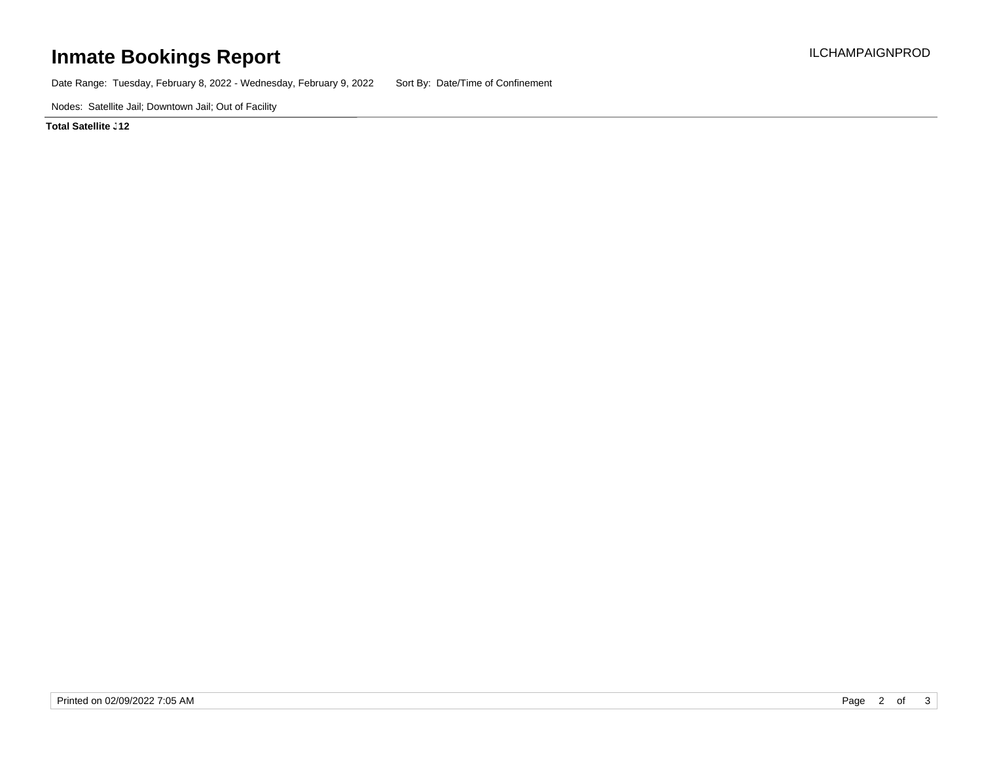# **Inmate Bookings Report Installation ILCHAMPAIGNPROD**

Date Range: Tuesday, February 8, 2022 - Wednesday, February 9, 2022 Sort By: Date/Time of Confinement

Nodes: Satellite Jail; Downtown Jail; Out of Facility

**Total Satellite <sub>-</sub>12**